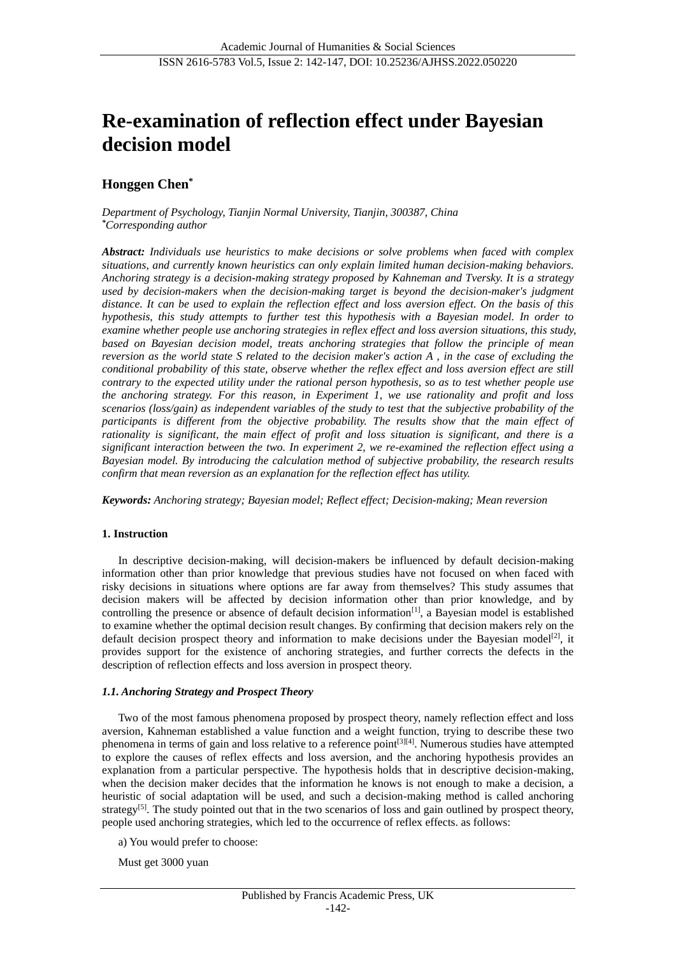# **Re-examination of reflection effect under Bayesian decision model**

## **Honggen Chen\***

*Department of Psychology, Tianjin Normal University, Tianjin, 300387, China \*Corresponding author*

*Abstract: Individuals use heuristics to make decisions or solve problems when faced with complex situations, and currently known heuristics can only explain limited human decision-making behaviors. Anchoring strategy is a decision-making strategy proposed by Kahneman and Tversky. It is a strategy used by decision-makers when the decision-making target is beyond the decision-maker's judgment distance. It can be used to explain the reflection effect and loss aversion effect. On the basis of this hypothesis, this study attempts to further test this hypothesis with a Bayesian model. In order to examine whether people use anchoring strategies in reflex effect and loss aversion situations, this study, based on Bayesian decision model, treats anchoring strategies that follow the principle of mean reversion as the world state S related to the decision maker's action A , in the case of excluding the conditional probability of this state, observe whether the reflex effect and loss aversion effect are still contrary to the expected utility under the rational person hypothesis, so as to test whether people use the anchoring strategy. For this reason, in Experiment 1, we use rationality and profit and loss scenarios (loss/gain) as independent variables of the study to test that the subjective probability of the participants is different from the objective probability. The results show that the main effect of rationality is significant, the main effect of profit and loss situation is significant, and there is a significant interaction between the two. In experiment 2, we re-examined the reflection effect using a Bayesian model. By introducing the calculation method of subjective probability, the research results confirm that mean reversion as an explanation for the reflection effect has utility.*

*Keywords: Anchoring strategy; Bayesian model; Reflect effect; Decision-making; Mean reversion*

#### **1. Instruction**

In descriptive decision-making, will decision-makers be influenced by default decision-making information other than prior knowledge that previous studies have not focused on when faced with risky decisions in situations where options are far away from themselves? This study assumes that decision makers will be affected by decision information other than prior knowledge, and by controlling the presence or absence of default decision information $\left[1\right]$ , a Bayesian model is established to examine whether the optimal decision result changes. By confirming that decision makers rely on the default decision prospect theory and information to make decisions under the Bayesian model<sup>[2]</sup>, it provides support for the existence of anchoring strategies, and further corrects the defects in the description of reflection effects and loss aversion in prospect theory.

## *1.1. Anchoring Strategy and Prospect Theory*

Two of the most famous phenomena proposed by prospect theory, namely reflection effect and loss aversion, Kahneman established a value function and a weight function, trying to describe these two phenomena in terms of gain and loss relative to a reference point[3][4]. Numerous studies have attempted to explore the causes of reflex effects and loss aversion, and the anchoring hypothesis provides an explanation from a particular perspective. The hypothesis holds that in descriptive decision-making, when the decision maker decides that the information he knows is not enough to make a decision, a heuristic of social adaptation will be used, and such a decision-making method is called anchoring strategy<sup>[5]</sup>. The study pointed out that in the two scenarios of loss and gain outlined by prospect theory, people used anchoring strategies, which led to the occurrence of reflex effects. as follows:

a) You would prefer to choose:

Must get 3000 yuan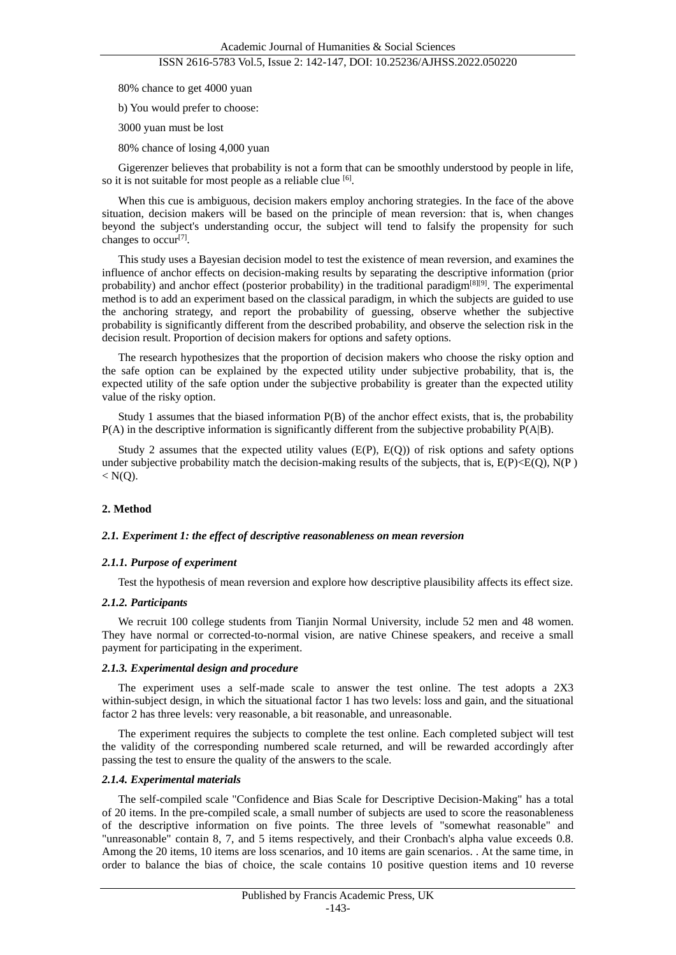80% chance to get 4000 yuan

b) You would prefer to choose:

3000 yuan must be lost

80% chance of losing 4,000 yuan

Gigerenzer believes that probability is not a form that can be smoothly understood by people in life, so it is not suitable for most people as a reliable clue [6].

When this cue is ambiguous, decision makers employ anchoring strategies. In the face of the above situation, decision makers will be based on the principle of mean reversion: that is, when changes beyond the subject's understanding occur, the subject will tend to falsify the propensity for such changes to occur<sup>[7]</sup>.

This study uses a Bayesian decision model to test the existence of mean reversion, and examines the influence of anchor effects on decision-making results by separating the descriptive information (prior probability) and anchor effect (posterior probability) in the traditional paradigm<sup>[8][9]</sup>. The experimental method is to add an experiment based on the classical paradigm, in which the subjects are guided to use the anchoring strategy, and report the probability of guessing, observe whether the subjective probability is significantly different from the described probability, and observe the selection risk in the decision result. Proportion of decision makers for options and safety options.

The research hypothesizes that the proportion of decision makers who choose the risky option and the safe option can be explained by the expected utility under subjective probability, that is, the expected utility of the safe option under the subjective probability is greater than the expected utility value of the risky option.

Study 1 assumes that the biased information P(B) of the anchor effect exists, that is, the probability P(A) in the descriptive information is significantly different from the subjective probability P(A|B).

Study 2 assumes that the expected utility values  $(E(P), E(Q))$  of risk options and safety options under subjective probability match the decision-making results of the subjects, that is,  $E(P) \leq E(Q)$ ,  $N(P)$  $< N(Q)$ .

#### **2. Method**

#### *2.1. Experiment 1: the effect of descriptive reasonableness on mean reversion*

#### *2.1.1. Purpose of experiment*

Test the hypothesis of mean reversion and explore how descriptive plausibility affects its effect size.

#### *2.1.2. Participants*

We recruit 100 college students from Tianjin Normal University, include 52 men and 48 women. They have normal or corrected-to-normal vision, are native Chinese speakers, and receive a small payment for participating in the experiment.

#### *2.1.3. Experimental design and procedure*

The experiment uses a self-made scale to answer the test online. The test adopts a 2X3 within-subject design, in which the situational factor 1 has two levels: loss and gain, and the situational factor 2 has three levels: very reasonable, a bit reasonable, and unreasonable.

The experiment requires the subjects to complete the test online. Each completed subject will test the validity of the corresponding numbered scale returned, and will be rewarded accordingly after passing the test to ensure the quality of the answers to the scale.

#### *2.1.4. Experimental materials*

The self-compiled scale "Confidence and Bias Scale for Descriptive Decision-Making" has a total of 20 items. In the pre-compiled scale, a small number of subjects are used to score the reasonableness of the descriptive information on five points. The three levels of "somewhat reasonable" and "unreasonable" contain 8, 7, and 5 items respectively, and their Cronbach's alpha value exceeds 0.8. Among the 20 items, 10 items are loss scenarios, and 10 items are gain scenarios. . At the same time, in order to balance the bias of choice, the scale contains 10 positive question items and 10 reverse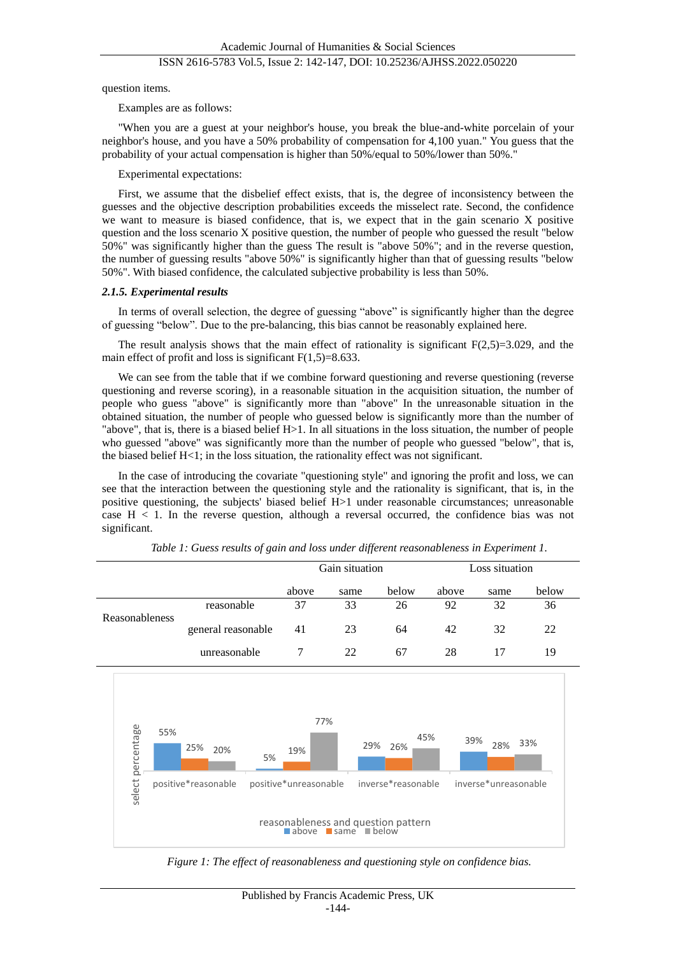question items.

Examples are as follows:

"When you are a guest at your neighbor's house, you break the blue-and-white porcelain of your neighbor's house, and you have a 50% probability of compensation for 4,100 yuan." You guess that the probability of your actual compensation is higher than 50%/equal to 50%/lower than 50%."

Experimental expectations:

First, we assume that the disbelief effect exists, that is, the degree of inconsistency between the guesses and the objective description probabilities exceeds the misselect rate. Second, the confidence we want to measure is biased confidence, that is, we expect that in the gain scenario X positive question and the loss scenario X positive question, the number of people who guessed the result "below 50%" was significantly higher than the guess The result is "above 50%"; and in the reverse question, the number of guessing results "above 50%" is significantly higher than that of guessing results "below 50%". With biased confidence, the calculated subjective probability is less than 50%.

#### *2.1.5. Experimental results*

In terms of overall selection, the degree of guessing "above" is significantly higher than the degree of guessing "below". Due to the pre-balancing, this bias cannot be reasonably explained here.

The result analysis shows that the main effect of rationality is significant  $F(2,5)=3.029$ , and the main effect of profit and loss is significant  $F(1,5)=8.633$ .

We can see from the table that if we combine forward questioning and reverse questioning (reverse questioning and reverse scoring), in a reasonable situation in the acquisition situation, the number of people who guess "above" is significantly more than "above" In the unreasonable situation in the obtained situation, the number of people who guessed below is significantly more than the number of "above", that is, there is a biased belief  $H>1$ . In all situations in the loss situation, the number of people who guessed "above" was significantly more than the number of people who guessed "below", that is, the biased belief  $H<1$ ; in the loss situation, the rationality effect was not significant.

In the case of introducing the covariate "questioning style" and ignoring the profit and loss, we can see that the interaction between the questioning style and the rationality is significant, that is, in the positive questioning, the subjects' biased belief H>1 under reasonable circumstances; unreasonable case  $H < 1$ . In the reverse question, although a reversal occurred, the confidence bias was not significant.



*Table 1: Guess results of gain and loss under different reasonableness in Experiment 1.*

*Figure 1: The effect of reasonableness and questioning style on confidence bias.*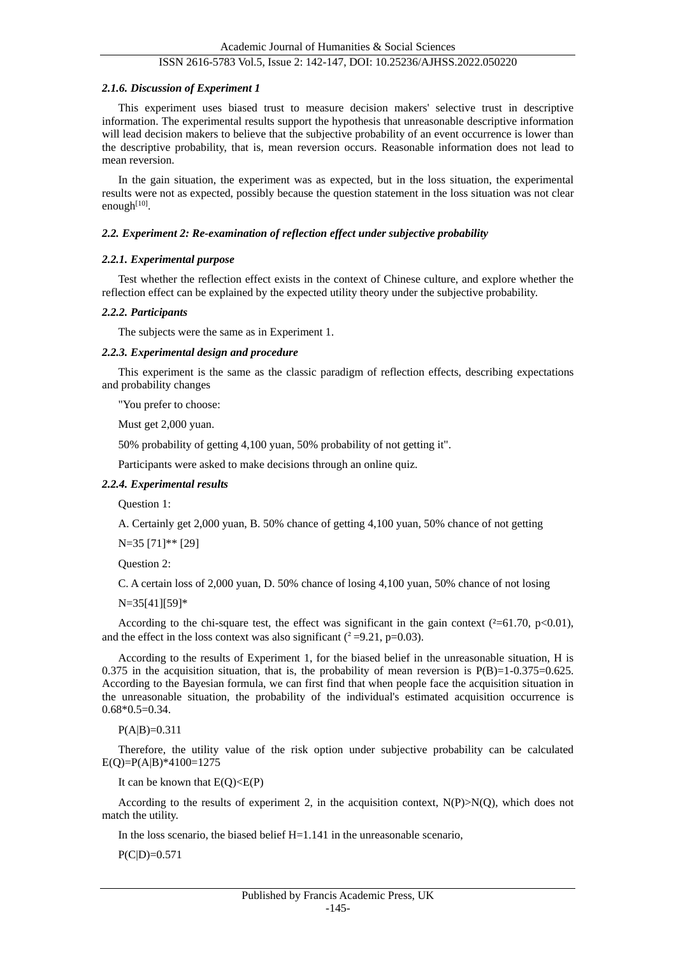#### *2.1.6. Discussion of Experiment 1*

This experiment uses biased trust to measure decision makers' selective trust in descriptive information. The experimental results support the hypothesis that unreasonable descriptive information will lead decision makers to believe that the subjective probability of an event occurrence is lower than the descriptive probability, that is, mean reversion occurs. Reasonable information does not lead to mean reversion.

In the gain situation, the experiment was as expected, but in the loss situation, the experimental results were not as expected, possibly because the question statement in the loss situation was not clear enough<sup>[10]</sup>.

#### *2.2. Experiment 2: Re-examination of reflection effect under subjective probability*

#### *2.2.1. Experimental purpose*

Test whether the reflection effect exists in the context of Chinese culture, and explore whether the reflection effect can be explained by the expected utility theory under the subjective probability.

#### *2.2.2. Participants*

The subjects were the same as in Experiment 1.

#### *2.2.3. Experimental design and procedure*

This experiment is the same as the classic paradigm of reflection effects, describing expectations and probability changes

"You prefer to choose:

Must get 2,000 yuan.

50% probability of getting 4,100 yuan, 50% probability of not getting it".

Participants were asked to make decisions through an online quiz.

#### *2.2.4. Experimental results*

Question 1:

A. Certainly get 2,000 yuan, B. 50% chance of getting 4,100 yuan, 50% chance of not getting

N=35 [71]\*\* [29]

Question 2:

C. A certain loss of 2,000 yuan, D. 50% chance of losing 4,100 yuan, 50% chance of not losing

N=35[41][59]\*

According to the chi-square test, the effect was significant in the gain context ( $\approx 61.70$ , p $<0.01$ ), and the effect in the loss context was also significant  $(^{2} = 9.21, p=0.03)$ .

According to the results of Experiment 1, for the biased belief in the unreasonable situation, H is 0.375 in the acquisition situation, that is, the probability of mean reversion is  $P(B)=1-0.375=0.625$ . According to the Bayesian formula, we can first find that when people face the acquisition situation in the unreasonable situation, the probability of the individual's estimated acquisition occurrence is 0.68\*0.5=0.34.

 $P(A|B)=0.311$ 

Therefore, the utility value of the risk option under subjective probability can be calculated E(Q)=P(A|B)\*4100=1275

It can be known that  $E(Q) \leq E(P)$ 

According to the results of experiment 2, in the acquisition context,  $N(P) > N(O)$ , which does not match the utility.

In the loss scenario, the biased belief H=1.141 in the unreasonable scenario,

 $P(C|D)=0.571$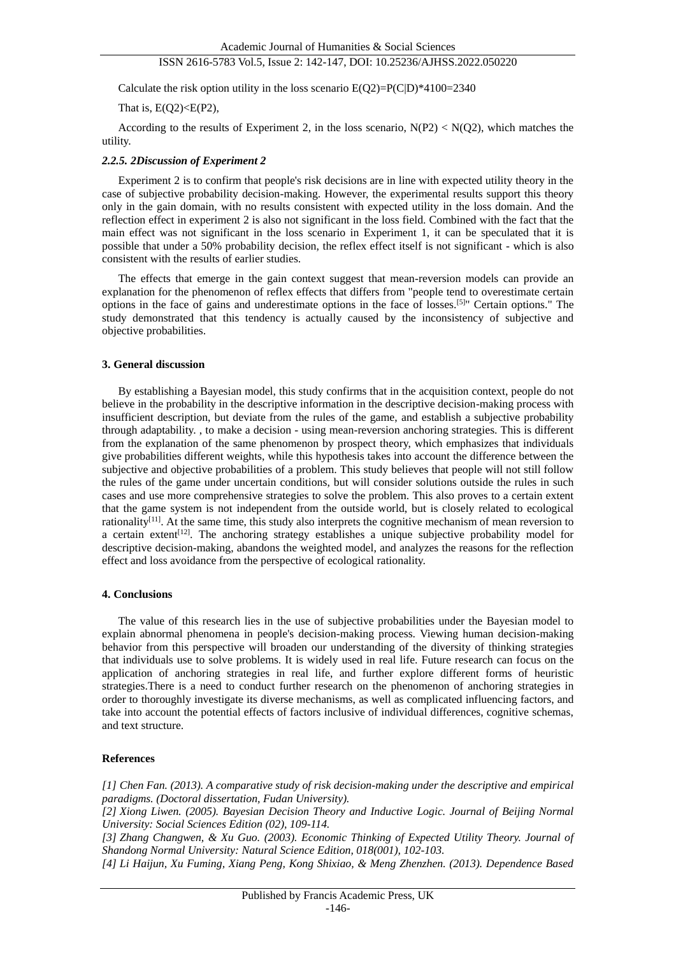Calculate the risk option utility in the loss scenario  $E(Q2)=P(C|D)*4100=2340$ 

That is,  $E(Q2) \leq E(P2)$ ,

According to the results of Experiment 2, in the loss scenario,  $N(P2) < N(Q2)$ , which matches the utility.

#### *2.2.5. 2Discussion of Experiment 2*

Experiment 2 is to confirm that people's risk decisions are in line with expected utility theory in the case of subjective probability decision-making. However, the experimental results support this theory only in the gain domain, with no results consistent with expected utility in the loss domain. And the reflection effect in experiment 2 is also not significant in the loss field. Combined with the fact that the main effect was not significant in the loss scenario in Experiment 1, it can be speculated that it is possible that under a 50% probability decision, the reflex effect itself is not significant - which is also consistent with the results of earlier studies.

The effects that emerge in the gain context suggest that mean-reversion models can provide an explanation for the phenomenon of reflex effects that differs from "people tend to overestimate certain options in the face of gains and underestimate options in the face of losses.[5]" Certain options." The study demonstrated that this tendency is actually caused by the inconsistency of subjective and objective probabilities.

#### **3. General discussion**

By establishing a Bayesian model, this study confirms that in the acquisition context, people do not believe in the probability in the descriptive information in the descriptive decision-making process with insufficient description, but deviate from the rules of the game, and establish a subjective probability through adaptability. , to make a decision - using mean-reversion anchoring strategies. This is different from the explanation of the same phenomenon by prospect theory, which emphasizes that individuals give probabilities different weights, while this hypothesis takes into account the difference between the subjective and objective probabilities of a problem. This study believes that people will not still follow the rules of the game under uncertain conditions, but will consider solutions outside the rules in such cases and use more comprehensive strategies to solve the problem. This also proves to a certain extent that the game system is not independent from the outside world, but is closely related to ecological rationality<sup>[11]</sup>. At the same time, this study also interprets the cognitive mechanism of mean reversion to a certain extent<sup>[12]</sup>. The anchoring strategy establishes a unique subjective probability model for descriptive decision-making, abandons the weighted model, and analyzes the reasons for the reflection effect and loss avoidance from the perspective of ecological rationality.

#### **4. Conclusions**

The value of this research lies in the use of subjective probabilities under the Bayesian model to explain abnormal phenomena in people's decision-making process. Viewing human decision-making behavior from this perspective will broaden our understanding of the diversity of thinking strategies that individuals use to solve problems. It is widely used in real life. Future research can focus on the application of anchoring strategies in real life, and further explore different forms of heuristic strategies.There is a need to conduct further research on the phenomenon of anchoring strategies in order to thoroughly investigate its diverse mechanisms, as well as complicated influencing factors, and take into account the potential effects of factors inclusive of individual differences, cognitive schemas, and text structure.

#### **References**

*[1] Chen Fan. (2013). A comparative study of risk decision-making under the descriptive and empirical paradigms. (Doctoral dissertation, Fudan University).*

*[2] Xiong Liwen. (2005). Bayesian Decision Theory and Inductive Logic. Journal of Beijing Normal University: Social Sciences Edition (02), 109-114.*

*[3] Zhang Changwen, & Xu Guo. (2003). Economic Thinking of Expected Utility Theory. Journal of Shandong Normal University: Natural Science Edition, 018(001), 102-103.*

*[4] Li Haijun, Xu Fuming, Xiang Peng, Kong Shixiao, & Meng Zhenzhen. (2013). Dependence Based*